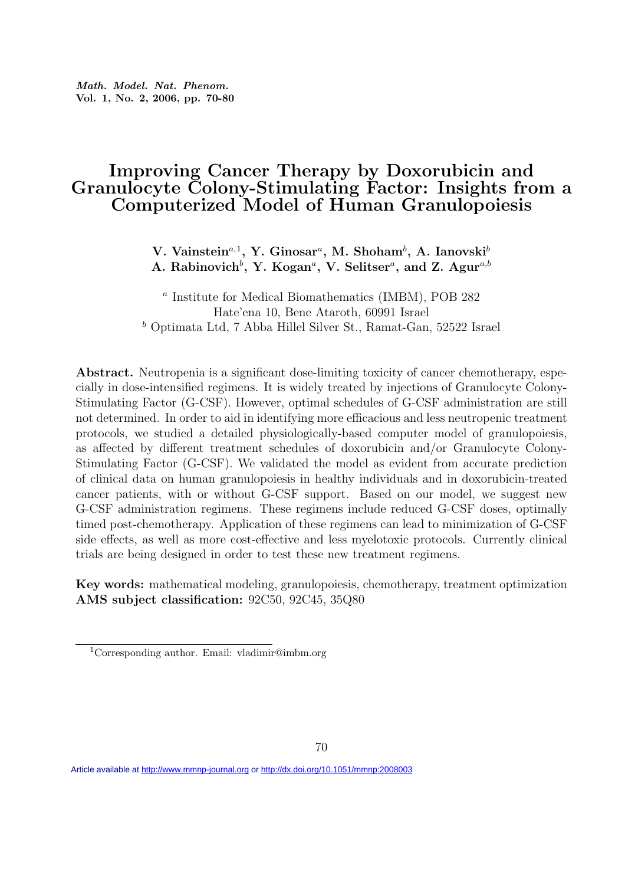## Improving Cancer Therapy by Doxorubicin and Granulocyte Colony-Stimulating Factor: Insights from a Computerized Model of Human Granulopoiesis

V. Vainstein<sup>a, 1</sup>, Y. Ginosar<sup>a</sup>, M. Shoham<sup>b</sup>, A. Ianovski<sup>b</sup> A. Rabinovich<sup>b</sup>, Y. Kogan<sup>a</sup>, V. Selitser<sup>a</sup>, and Z. Agur<sup>a,b</sup>

a Institute for Medical Biomathematics (IMBM), POB 282 Hate'ena 10, Bene Ataroth, 60991 Israel <sup>b</sup> Optimata Ltd, 7 Abba Hillel Silver St., Ramat-Gan, 52522 Israel

Abstract. Neutropenia is a significant dose-limiting toxicity of cancer chemotherapy, especially in dose-intensified regimens. It is widely treated by injections of Granulocyte Colony-Stimulating Factor (G-CSF). However, optimal schedules of G-CSF administration are still not determined. In order to aid in identifying more efficacious and less neutropenic treatment protocols, we studied a detailed physiologically-based computer model of granulopoiesis, as affected by different treatment schedules of doxorubicin and/or Granulocyte Colony-Stimulating Factor (G-CSF). We validated the model as evident from accurate prediction of clinical data on human granulopoiesis in healthy individuals and in doxorubicin-treated cancer patients, with or without G-CSF support. Based on our model, we suggest new G-CSF administration regimens. These regimens include reduced G-CSF doses, optimally timed post-chemotherapy. Application of these regimens can lead to minimization of G-CSF side effects, as well as more cost-effective and less myelotoxic protocols. Currently clinical trials are being designed in order to test these new treatment regimens.

Key words: mathematical modeling, granulopoiesis, chemotherapy, treatment optimization AMS subject classification: 92C50, 92C45, 35Q80

Article available at <http://www.mmnp-journal.org>or <http://dx.doi.org/10.1051/mmnp:2008003>

<sup>1</sup>Corresponding author. Email: vladimir@imbm.org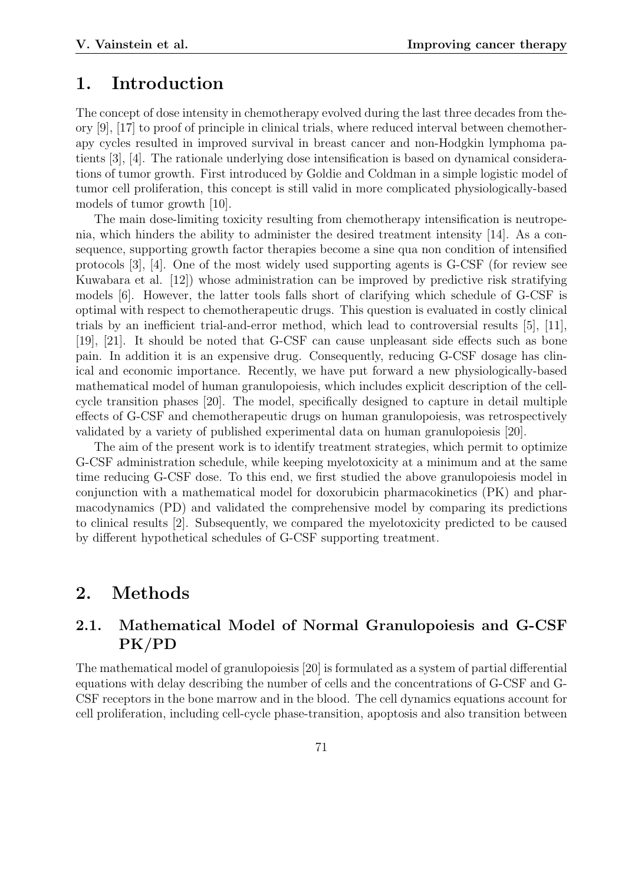## 1. Introduction

The concept of dose intensity in chemotherapy evolved during the last three decades from theory [9], [17] to proof of principle in clinical trials, where reduced interval between chemotherapy cycles resulted in improved survival in breast cancer and non-Hodgkin lymphoma patients [3], [4]. The rationale underlying dose intensification is based on dynamical considerations of tumor growth. First introduced by Goldie and Coldman in a simple logistic model of tumor cell proliferation, this concept is still valid in more complicated physiologically-based models of tumor growth [10].

The main dose-limiting toxicity resulting from chemotherapy intensification is neutropenia, which hinders the ability to administer the desired treatment intensity [14]. As a consequence, supporting growth factor therapies become a sine qua non condition of intensified protocols [3], [4]. One of the most widely used supporting agents is G-CSF (for review see Kuwabara et al. [12]) whose administration can be improved by predictive risk stratifying models [6]. However, the latter tools falls short of clarifying which schedule of G-CSF is optimal with respect to chemotherapeutic drugs. This question is evaluated in costly clinical trials by an inefficient trial-and-error method, which lead to controversial results [5], [11], [19], [21]. It should be noted that G-CSF can cause unpleasant side effects such as bone pain. In addition it is an expensive drug. Consequently, reducing G-CSF dosage has clinical and economic importance. Recently, we have put forward a new physiologically-based mathematical model of human granulopoiesis, which includes explicit description of the cellcycle transition phases [20]. The model, specifically designed to capture in detail multiple effects of G-CSF and chemotherapeutic drugs on human granulopoiesis, was retrospectively validated by a variety of published experimental data on human granulopoiesis [20].

The aim of the present work is to identify treatment strategies, which permit to optimize G-CSF administration schedule, while keeping myelotoxicity at a minimum and at the same time reducing G-CSF dose. To this end, we first studied the above granulopoiesis model in conjunction with a mathematical model for doxorubicin pharmacokinetics (PK) and pharmacodynamics (PD) and validated the comprehensive model by comparing its predictions to clinical results [2]. Subsequently, we compared the myelotoxicity predicted to be caused by different hypothetical schedules of G-CSF supporting treatment.

# 2. Methods

## 2.1. Mathematical Model of Normal Granulopoiesis and G-CSF PK/PD

The mathematical model of granulopoiesis [20] is formulated as a system of partial differential equations with delay describing the number of cells and the concentrations of G-CSF and G-CSF receptors in the bone marrow and in the blood. The cell dynamics equations account for cell proliferation, including cell-cycle phase-transition, apoptosis and also transition between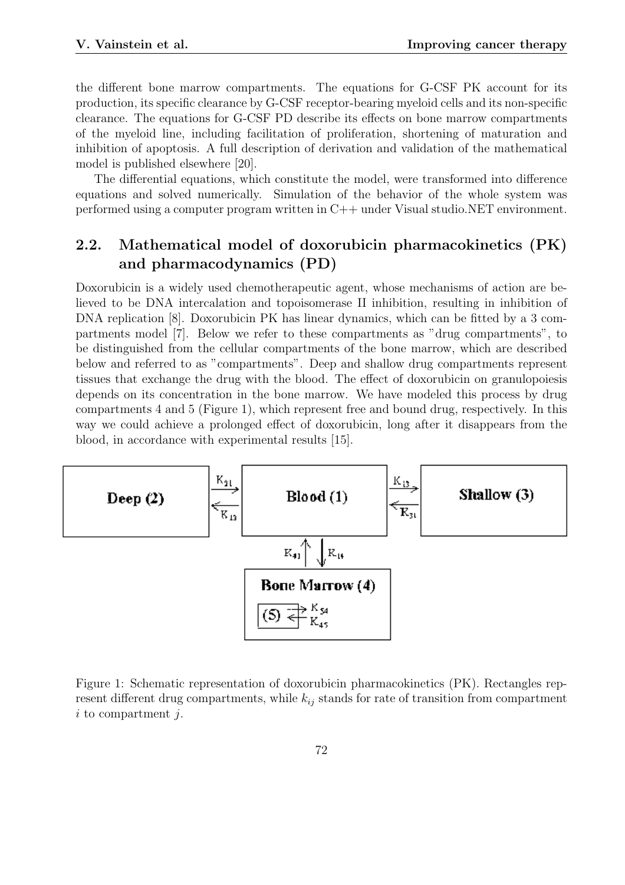the different bone marrow compartments. The equations for G-CSF PK account for its production, its specific clearance by G-CSF receptor-bearing myeloid cells and its non-specific clearance. The equations for G-CSF PD describe its effects on bone marrow compartments of the myeloid line, including facilitation of proliferation, shortening of maturation and inhibition of apoptosis. A full description of derivation and validation of the mathematical model is published elsewhere [20].

The differential equations, which constitute the model, were transformed into difference equations and solved numerically. Simulation of the behavior of the whole system was performed using a computer program written in C++ under Visual studio.NET environment.

## 2.2. Mathematical model of doxorubicin pharmacokinetics (PK) and pharmacodynamics (PD)

Doxorubicin is a widely used chemotherapeutic agent, whose mechanisms of action are believed to be DNA intercalation and topoisomerase II inhibition, resulting in inhibition of DNA replication [8]. Doxorubicin PK has linear dynamics, which can be fitted by a 3 compartments model [7]. Below we refer to these compartments as "drug compartments", to be distinguished from the cellular compartments of the bone marrow, which are described below and referred to as "compartments". Deep and shallow drug compartments represent tissues that exchange the drug with the blood. The effect of doxorubicin on granulopoiesis depends on its concentration in the bone marrow. We have modeled this process by drug compartments 4 and 5 (Figure 1), which represent free and bound drug, respectively. In this way we could achieve a prolonged effect of doxorubicin, long after it disappears from the blood, in accordance with experimental results [15].



Figure 1: Schematic representation of doxorubicin pharmacokinetics (PK). Rectangles represent different drug compartments, while  $k_{ij}$  stands for rate of transition from compartment  $i$  to compartment  $j$ .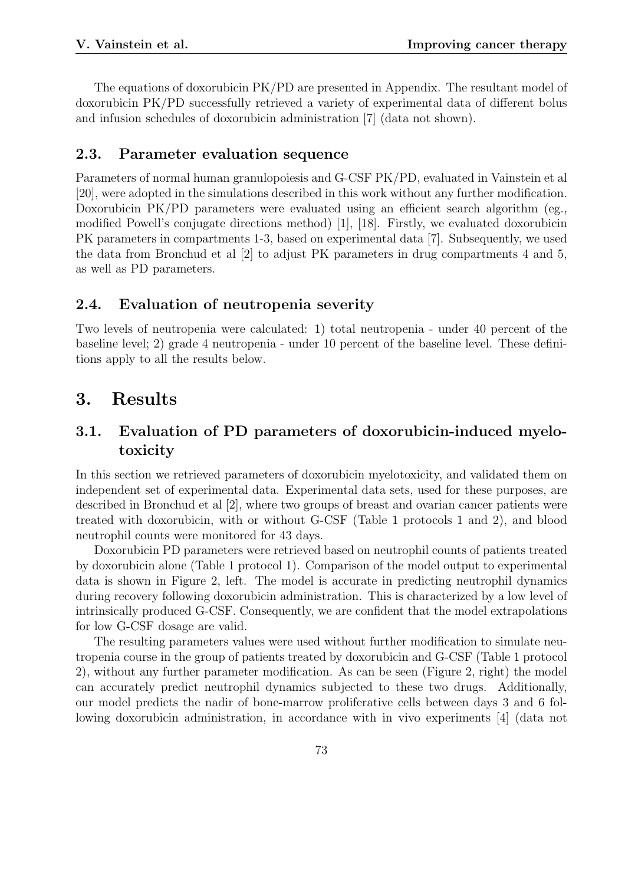The equations of doxorubicin PK/PD are presented in Appendix. The resultant model of doxorubicin PK/PD successfully retrieved a variety of experimental data of different bolus and infusion schedules of doxorubicin administration [7] (data not shown).

#### 2.3. Parameter evaluation sequence

Parameters of normal human granulopoiesis and G-CSF PK/PD, evaluated in Vainstein et al [20], were adopted in the simulations described in this work without any further modification. Doxorubicin PK/PD parameters were evaluated using an efficient search algorithm (eg., modified Powell's conjugate directions method) [1], [18]. Firstly, we evaluated doxorubicin PK parameters in compartments 1-3, based on experimental data [7]. Subsequently, we used the data from Bronchud et al [2] to adjust PK parameters in drug compartments 4 and 5, as well as PD parameters.

#### 2.4. Evaluation of neutropenia severity

Two levels of neutropenia were calculated: 1) total neutropenia - under 40 percent of the baseline level; 2) grade 4 neutropenia - under 10 percent of the baseline level. These definitions apply to all the results below.

## 3. Results

## 3.1. Evaluation of PD parameters of doxorubicin-induced myelotoxicity

In this section we retrieved parameters of doxorubicin myelotoxicity, and validated them on independent set of experimental data. Experimental data sets, used for these purposes, are described in Bronchud et al [2], where two groups of breast and ovarian cancer patients were treated with doxorubicin, with or without G-CSF (Table 1 protocols 1 and 2), and blood neutrophil counts were monitored for 43 days.

Doxorubicin PD parameters were retrieved based on neutrophil counts of patients treated by doxorubicin alone (Table 1 protocol 1). Comparison of the model output to experimental data is shown in Figure 2, left. The model is accurate in predicting neutrophil dynamics during recovery following doxorubicin administration. This is characterized by a low level of intrinsically produced G-CSF. Consequently, we are confident that the model extrapolations for low G-CSF dosage are valid.

The resulting parameters values were used without further modification to simulate neutropenia course in the group of patients treated by doxorubicin and G-CSF (Table 1 protocol 2), without any further parameter modification. As can be seen (Figure 2, right) the model can accurately predict neutrophil dynamics subjected to these two drugs. Additionally, our model predicts the nadir of bone-marrow proliferative cells between days 3 and 6 following doxorubicin administration, in accordance with in vivo experiments [4] (data not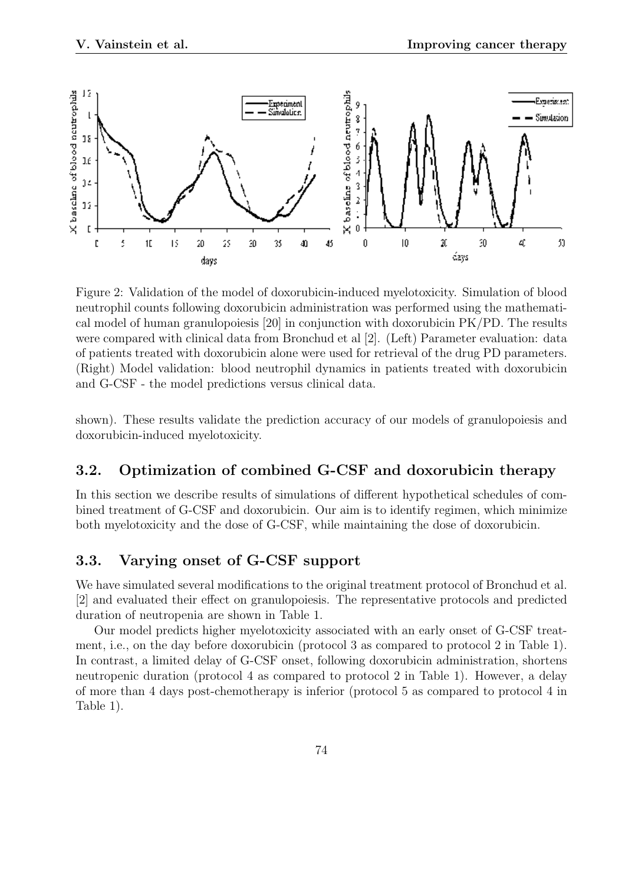

Figure 2: Validation of the model of doxorubicin-induced myelotoxicity. Simulation of blood neutrophil counts following doxorubicin administration was performed using the mathematical model of human granulopoiesis [20] in conjunction with doxorubicin PK/PD. The results were compared with clinical data from Bronchud et al [2]. (Left) Parameter evaluation: data of patients treated with doxorubicin alone were used for retrieval of the drug PD parameters. (Right) Model validation: blood neutrophil dynamics in patients treated with doxorubicin and G-CSF - the model predictions versus clinical data.

shown). These results validate the prediction accuracy of our models of granulopoiesis and doxorubicin-induced myelotoxicity.

#### 3.2. Optimization of combined G-CSF and doxorubicin therapy

In this section we describe results of simulations of different hypothetical schedules of combined treatment of G-CSF and doxorubicin. Our aim is to identify regimen, which minimize both myelotoxicity and the dose of G-CSF, while maintaining the dose of doxorubicin.

#### 3.3. Varying onset of G-CSF support

We have simulated several modifications to the original treatment protocol of Bronchud et al. [2] and evaluated their effect on granulopoiesis. The representative protocols and predicted duration of neutropenia are shown in Table 1.

Our model predicts higher myelotoxicity associated with an early onset of G-CSF treatment, i.e., on the day before doxorubicin (protocol 3 as compared to protocol 2 in Table 1). In contrast, a limited delay of G-CSF onset, following doxorubicin administration, shortens neutropenic duration (protocol 4 as compared to protocol 2 in Table 1). However, a delay of more than 4 days post-chemotherapy is inferior (protocol 5 as compared to protocol 4 in Table 1).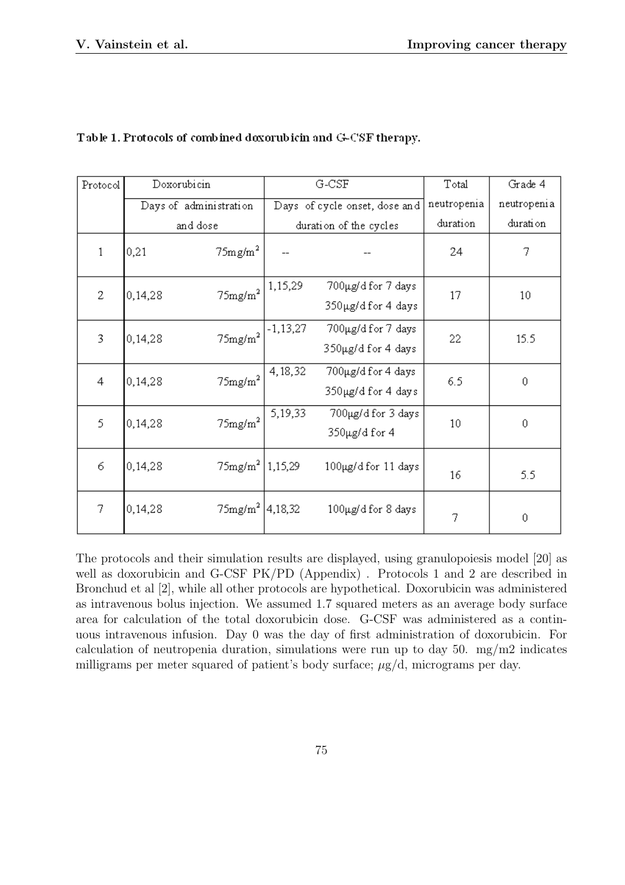| Protocol     | Doxorubicin |                                  | G-CSF                         |                     | Total           | Grade 4         |
|--------------|-------------|----------------------------------|-------------------------------|---------------------|-----------------|-----------------|
|              |             | Days of administration           | Days of cycle onset, dose and |                     | neutropenia     | neutropenia     |
|              | and dose    |                                  | duration of the cycles        |                     | duration        | duration        |
| $\mathbf{1}$ | 0,21        | 75mg/m <sup>2</sup>              |                               |                     | 24              | 7               |
| 2            | 0,14,28     | $75 \text{mg/m}^2$               | 1,15,29                       | 700µg/d for 7 days  | 17              | 10 <sup>°</sup> |
|              |             |                                  |                               | 350µg/d for 4 days  |                 |                 |
| 3            | 0,14,28     | $75$ mg/m $^2$                   | -1,13,27                      | 700µg/d for 7 days  | 22              | 15.5            |
|              |             |                                  |                               | 350µg/d for 4 days  |                 |                 |
| 4            | 0,14,28     | $75$ mg/m $^2$                   | 4, 18, 32                     | 700µg/d for 4 days  | 6.5             | $\mathbf 0$     |
|              |             |                                  |                               | 350µg/d for 4 days  |                 |                 |
| 5            | 0,14,28     | $75 \mathrm{mg/m}^2$             | 5,19,33                       | 700µg/d for 3 days  | 10 <sup>°</sup> | 0               |
|              |             |                                  |                               | 350µg/d for 4       |                 |                 |
| 6            | 0,14,28     | $75$ mg/m <sup>2</sup>   1,15,29 |                               | 100μg/d for 11 days |                 |                 |
|              |             |                                  |                               |                     | 16              | 5.5             |
| 7            | 0,14,28     | $75$ mg/m <sup>2</sup> 4,18,32   |                               | 100µg/d for 8 days  |                 |                 |
|              |             |                                  |                               |                     | 7               | $\mathbf 0$     |

#### Table 1. Protocols of combined doxorubicin and G-CSF therapy.

The protocols and their simulation results are displayed, using granulopoiesis model [20] as well as doxorubicin and G-CSF PK/PD (Appendix) . Protocols 1 and 2 are described in Bronchud et al [2], while all other protocols are hypothetical. Doxorubicin was administered as intravenous bolus injection. We assumed 1.7 squared meters as an average body surface area for calculation of the total doxorubicin dose. G-CSF was administered as a continuous intravenous infusion. Day 0 was the day of first administration of doxorubicin. For calculation of neutropenia duration, simulations were run up to day  $50$ . mg/m2 indicates milligrams per meter squared of patient's body surface;  $\mu$ g/d, micrograms per day.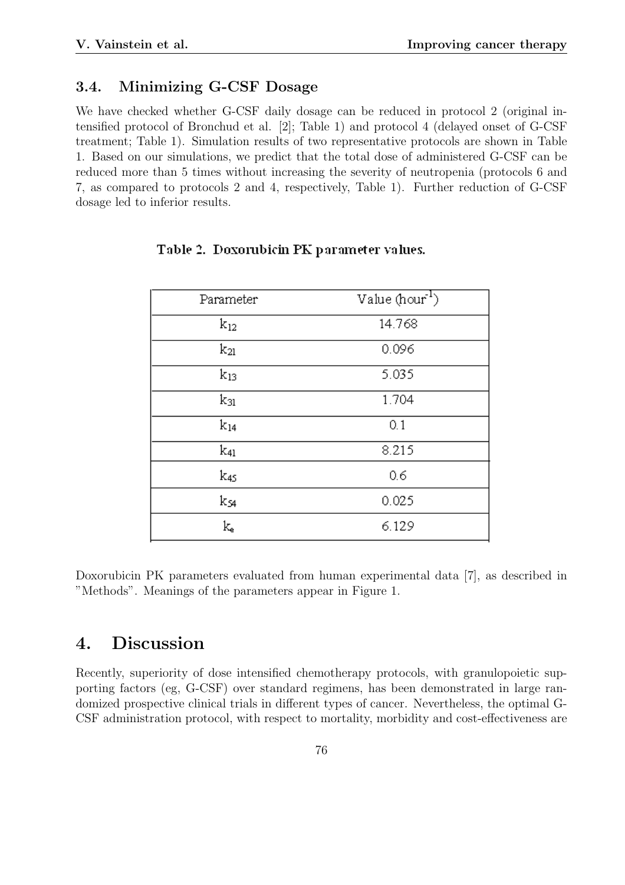#### 3.4. Minimizing G-CSF Dosage

We have checked whether G-CSF daily dosage can be reduced in protocol 2 (original intensified protocol of Bronchud et al. [2]; Table 1) and protocol 4 (delayed onset of G-CSF treatment; Table 1). Simulation results of two representative protocols are shown in Table 1. Based on our simulations, we predict that the total dose of administered G-CSF can be reduced more than 5 times without increasing the severity of neutropenia (protocols 6 and 7, as compared to protocols 2 and 4, respectively, Table 1). Further reduction of G-CSF dosage led to inferior results.

| Parameter     | Value (hour <sup>1</sup> ) |  |  |
|---------------|----------------------------|--|--|
| $k_{12}$      | 14.768                     |  |  |
| $k_{21}$      | 0.096                      |  |  |
| $\rm{k_{13}}$ | 5.035                      |  |  |
| $k_{31}$      | 1.704                      |  |  |
| $k_{14}$      | 0.1                        |  |  |
| k41           | 8.215                      |  |  |
| k45           | 0.6                        |  |  |
| k54           | 0.025                      |  |  |
| k.            | 6.129                      |  |  |

#### Table 2. Doxorubicin PK parameter values.

Doxorubicin PK parameters evaluated from human experimental data [7], as described in "Methods". Meanings of the parameters appear in Figure 1.

# 4. Discussion

Recently, superiority of dose intensified chemotherapy protocols, with granulopoietic supporting factors (eg, G-CSF) over standard regimens, has been demonstrated in large randomized prospective clinical trials in different types of cancer. Nevertheless, the optimal G-CSF administration protocol, with respect to mortality, morbidity and cost-effectiveness are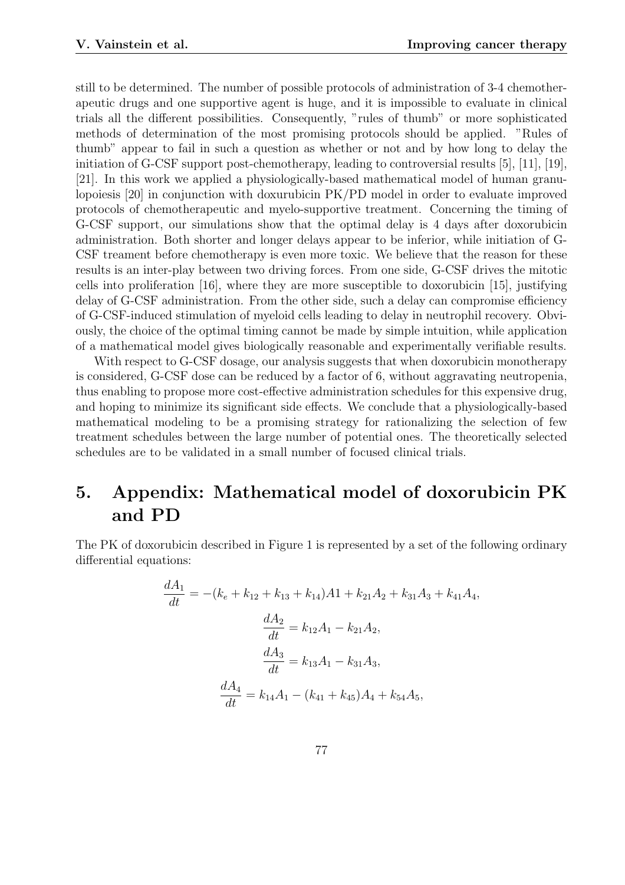still to be determined. The number of possible protocols of administration of 3-4 chemotherapeutic drugs and one supportive agent is huge, and it is impossible to evaluate in clinical trials all the different possibilities. Consequently, "rules of thumb" or more sophisticated methods of determination of the most promising protocols should be applied. "Rules of thumb" appear to fail in such a question as whether or not and by how long to delay the initiation of G-CSF support post-chemotherapy, leading to controversial results [5], [11], [19], [21]. In this work we applied a physiologically-based mathematical model of human granulopoiesis [20] in conjunction with doxurubicin PK/PD model in order to evaluate improved protocols of chemotherapeutic and myelo-supportive treatment. Concerning the timing of G-CSF support, our simulations show that the optimal delay is 4 days after doxorubicin administration. Both shorter and longer delays appear to be inferior, while initiation of G-CSF treament before chemotherapy is even more toxic. We believe that the reason for these results is an inter-play between two driving forces. From one side, G-CSF drives the mitotic cells into proliferation [16], where they are more susceptible to doxorubicin [15], justifying delay of G-CSF administration. From the other side, such a delay can compromise efficiency of G-CSF-induced stimulation of myeloid cells leading to delay in neutrophil recovery. Obviously, the choice of the optimal timing cannot be made by simple intuition, while application of a mathematical model gives biologically reasonable and experimentally verifiable results.

With respect to G-CSF dosage, our analysis suggests that when doxorubicin monotherapy is considered, G-CSF dose can be reduced by a factor of 6, without aggravating neutropenia, thus enabling to propose more cost-effective administration schedules for this expensive drug, and hoping to minimize its significant side effects. We conclude that a physiologically-based mathematical modeling to be a promising strategy for rationalizing the selection of few treatment schedules between the large number of potential ones. The theoretically selected schedules are to be validated in a small number of focused clinical trials.

# 5. Appendix: Mathematical model of doxorubicin PK and PD

The PK of doxorubicin described in Figure 1 is represented by a set of the following ordinary differential equations:

$$
\frac{dA_1}{dt} = -(k_e + k_{12} + k_{13} + k_{14})A1 + k_{21}A_2 + k_{31}A_3 + k_{41}A_4,
$$
  

$$
\frac{dA_2}{dt} = k_{12}A_1 - k_{21}A_2,
$$
  

$$
\frac{dA_3}{dt} = k_{13}A_1 - k_{31}A_3,
$$
  

$$
\frac{dA_4}{dt} = k_{14}A_1 - (k_{41} + k_{45})A_4 + k_{54}A_5,
$$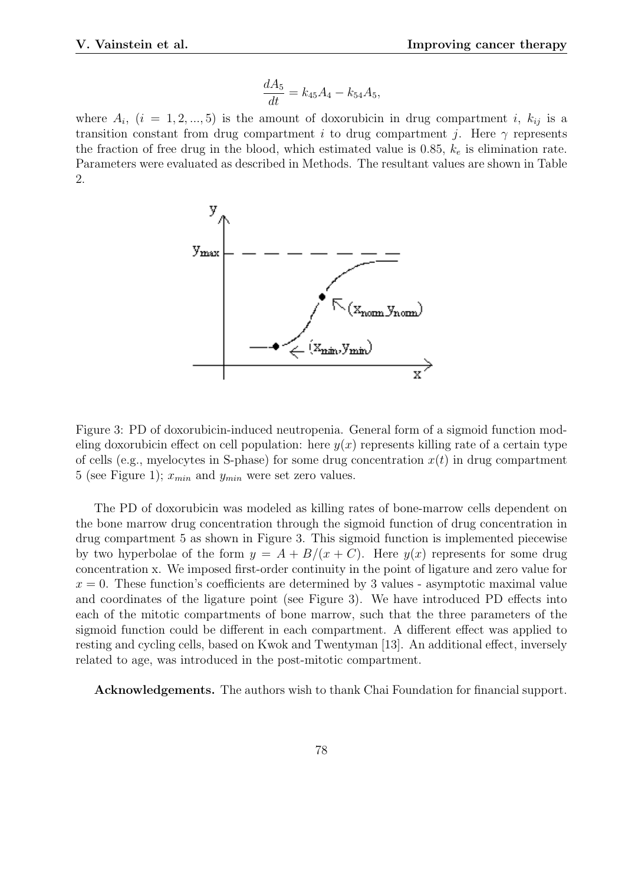$$
\frac{dA_5}{dt} = k_{45}A_4 - k_{54}A_5,
$$

where  $A_i$ ,  $(i = 1, 2, ..., 5)$  is the amount of doxorubicin in drug compartment i,  $k_{ij}$  is a transition constant from drug compartment i to drug compartment j. Here  $\gamma$  represents the fraction of free drug in the blood, which estimated value is 0.85,  $k_e$  is elimination rate. Parameters were evaluated as described in Methods. The resultant values are shown in Table 2.



Figure 3: PD of doxorubicin-induced neutropenia. General form of a sigmoid function modeling doxorubicin effect on cell population: here  $y(x)$  represents killing rate of a certain type of cells (e.g., myelocytes in S-phase) for some drug concentration  $x(t)$  in drug compartment 5 (see Figure 1);  $x_{min}$  and  $y_{min}$  were set zero values.

The PD of doxorubicin was modeled as killing rates of bone-marrow cells dependent on the bone marrow drug concentration through the sigmoid function of drug concentration in drug compartment 5 as shown in Figure 3. This sigmoid function is implemented piecewise by two hyperbolae of the form  $y = A + B/(x + C)$ . Here  $y(x)$  represents for some drug concentration x. We imposed first-order continuity in the point of ligature and zero value for  $x = 0$ . These function's coefficients are determined by 3 values - asymptotic maximal value and coordinates of the ligature point (see Figure 3). We have introduced PD effects into each of the mitotic compartments of bone marrow, such that the three parameters of the sigmoid function could be different in each compartment. A different effect was applied to resting and cycling cells, based on Kwok and Twentyman [13]. An additional effect, inversely related to age, was introduced in the post-mitotic compartment.

Acknowledgements. The authors wish to thank Chai Foundation for financial support.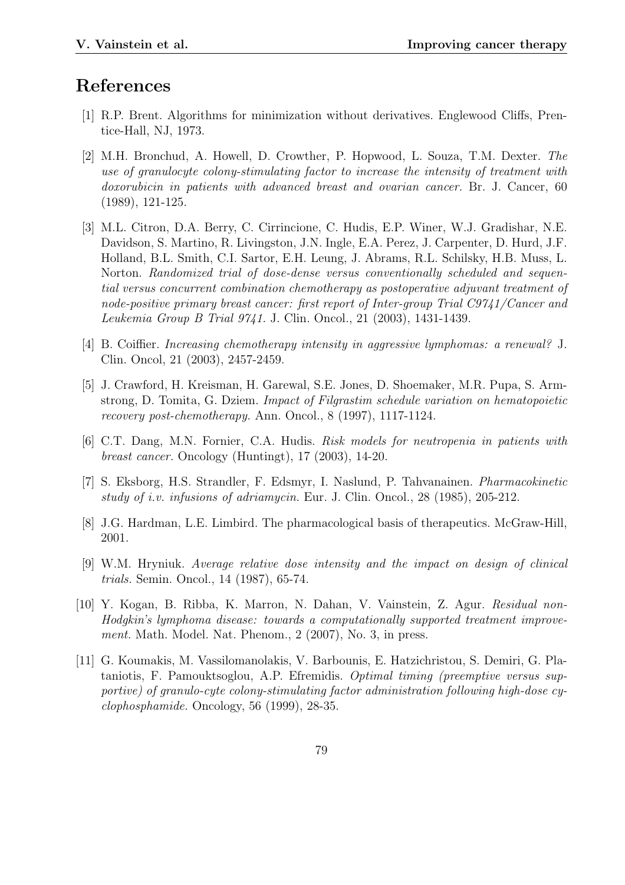# References

- [1] R.P. Brent. Algorithms for minimization without derivatives. Englewood Cliffs, Prentice-Hall, NJ, 1973.
- [2] M.H. Bronchud, A. Howell, D. Crowther, P. Hopwood, L. Souza, T.M. Dexter. The use of granulocyte colony-stimulating factor to increase the intensity of treatment with doxorubicin in patients with advanced breast and ovarian cancer. Br. J. Cancer, 60 (1989), 121-125.
- [3] M.L. Citron, D.A. Berry, C. Cirrincione, C. Hudis, E.P. Winer, W.J. Gradishar, N.E. Davidson, S. Martino, R. Livingston, J.N. Ingle, E.A. Perez, J. Carpenter, D. Hurd, J.F. Holland, B.L. Smith, C.I. Sartor, E.H. Leung, J. Abrams, R.L. Schilsky, H.B. Muss, L. Norton. Randomized trial of dose-dense versus conventionally scheduled and sequential versus concurrent combination chemotherapy as postoperative adjuvant treatment of node-positive primary breast cancer: first report of Inter-group Trial C9741/Cancer and Leukemia Group B Trial 9741. J. Clin. Oncol., 21 (2003), 1431-1439.
- [4] B. Coiffier. Increasing chemotherapy intensity in aggressive lymphomas: a renewal? J. Clin. Oncol, 21 (2003), 2457-2459.
- [5] J. Crawford, H. Kreisman, H. Garewal, S.E. Jones, D. Shoemaker, M.R. Pupa, S. Armstrong, D. Tomita, G. Dziem. Impact of Filgrastim schedule variation on hematopoietic recovery post-chemotherapy. Ann. Oncol., 8 (1997), 1117-1124.
- [6] C.T. Dang, M.N. Fornier, C.A. Hudis. Risk models for neutropenia in patients with breast cancer. Oncology (Huntingt), 17 (2003), 14-20.
- [7] S. Eksborg, H.S. Strandler, F. Edsmyr, I. Naslund, P. Tahvanainen. Pharmacokinetic study of i.v. infusions of adriamycin. Eur. J. Clin. Oncol., 28 (1985), 205-212.
- [8] J.G. Hardman, L.E. Limbird. The pharmacological basis of therapeutics. McGraw-Hill, 2001.
- [9] W.M. Hryniuk. Average relative dose intensity and the impact on design of clinical trials. Semin. Oncol., 14 (1987), 65-74.
- [10] Y. Kogan, B. Ribba, K. Marron, N. Dahan, V. Vainstein, Z. Agur. Residual non-Hodgkin's lymphoma disease: towards a computationally supported treatment improvement. Math. Model. Nat. Phenom., 2 (2007), No. 3, in press.
- [11] G. Koumakis, M. Vassilomanolakis, V. Barbounis, E. Hatzichristou, S. Demiri, G. Plataniotis, F. Pamouktsoglou, A.P. Efremidis. Optimal timing (preemptive versus supportive) of granulo-cyte colony-stimulating factor administration following high-dose cyclophosphamide. Oncology, 56 (1999), 28-35.